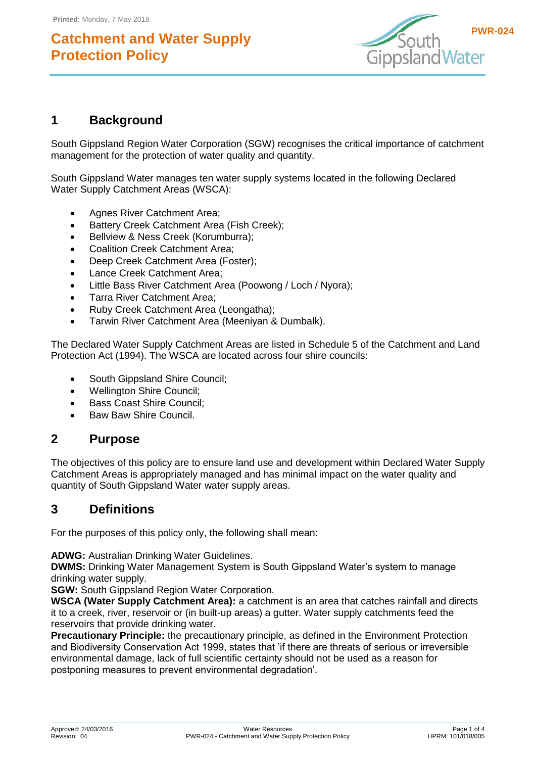

## **1 Background**

South Gippsland Region Water Corporation (SGW) recognises the critical importance of catchment management for the protection of water quality and quantity.

South Gippsland Water manages ten water supply systems located in the following Declared Water Supply Catchment Areas (WSCA):

- Agnes River Catchment Area;
- Battery Creek Catchment Area (Fish Creek):
- Bellview & Ness Creek (Korumburra):
- Coalition Creek Catchment Area;
- Deep Creek Catchment Area (Foster);
- Lance Creek Catchment Area;
- Little Bass River Catchment Area (Poowong / Loch / Nyora);
- Tarra River Catchment Area;
- Ruby Creek Catchment Area (Leongatha);
- Tarwin River Catchment Area (Meeniyan & Dumbalk).

The Declared Water Supply Catchment Areas are listed in Schedule 5 of the Catchment and Land Protection Act (1994). The WSCA are located across four shire councils:

- South Gippsland Shire Council;
- Wellington Shire Council;
- Bass Coast Shire Council:
- Baw Baw Shire Council.

### **2 Purpose**

The objectives of this policy are to ensure land use and development within Declared Water Supply Catchment Areas is appropriately managed and has minimal impact on the water quality and quantity of South Gippsland Water water supply areas.

### **3 Definitions**

For the purposes of this policy only, the following shall mean:

**ADWG:** Australian Drinking Water Guidelines.

**DWMS:** Drinking Water Management System is South Gippsland Water's system to manage drinking water supply.

**SGW:** South Gippsland Region Water Corporation.

**WSCA (Water Supply Catchment Area):** a catchment is an area that catches rainfall and directs it to a creek, river, reservoir or (in built-up areas) a gutter. Water supply catchments feed the reservoirs that provide drinking water.

**Precautionary Principle:** the precautionary principle, as defined in the Environment Protection and Biodiversity Conservation Act 1999, states that 'if there are threats of serious or irreversible environmental damage, lack of full scientific certainty should not be used as a reason for postponing measures to prevent environmental degradation'.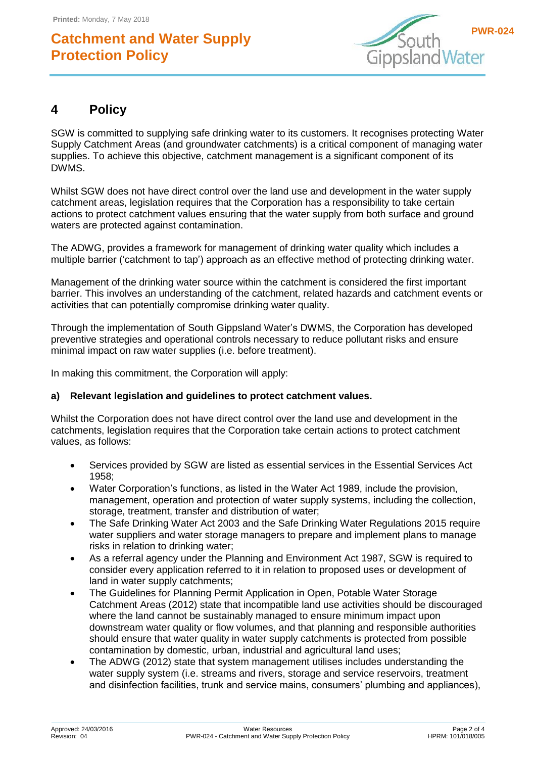

## **4 Policy**

SGW is committed to supplying safe drinking water to its customers. It recognises protecting Water Supply Catchment Areas (and groundwater catchments) is a critical component of managing water supplies. To achieve this objective, catchment management is a significant component of its DWMS.

Whilst SGW does not have direct control over the land use and development in the water supply catchment areas, legislation requires that the Corporation has a responsibility to take certain actions to protect catchment values ensuring that the water supply from both surface and ground waters are protected against contamination.

The ADWG, provides a framework for management of drinking water quality which includes a multiple barrier ('catchment to tap') approach as an effective method of protecting drinking water.

Management of the drinking water source within the catchment is considered the first important barrier. This involves an understanding of the catchment, related hazards and catchment events or activities that can potentially compromise drinking water quality.

Through the implementation of South Gippsland Water's DWMS, the Corporation has developed preventive strategies and operational controls necessary to reduce pollutant risks and ensure minimal impact on raw water supplies (i.e. before treatment).

In making this commitment, the Corporation will apply:

#### **a) Relevant legislation and guidelines to protect catchment values.**

Whilst the Corporation does not have direct control over the land use and development in the catchments, legislation requires that the Corporation take certain actions to protect catchment values, as follows:

- Services provided by SGW are listed as essential services in the Essential Services Act 1958;
- Water Corporation's functions, as listed in the Water Act 1989, include the provision, management, operation and protection of water supply systems, including the collection, storage, treatment, transfer and distribution of water;
- The Safe Drinking Water Act 2003 and the Safe Drinking Water Regulations 2015 require water suppliers and water storage managers to prepare and implement plans to manage risks in relation to drinking water;
- As a referral agency under the Planning and Environment Act 1987, SGW is required to consider every application referred to it in relation to proposed uses or development of land in water supply catchments;
- The Guidelines for Planning Permit Application in Open, Potable Water Storage Catchment Areas (2012) state that incompatible land use activities should be discouraged where the land cannot be sustainably managed to ensure minimum impact upon downstream water quality or flow volumes, and that planning and responsible authorities should ensure that water quality in water supply catchments is protected from possible contamination by domestic, urban, industrial and agricultural land uses;
- The ADWG (2012) state that system management utilises includes understanding the water supply system (i.e. streams and rivers, storage and service reservoirs, treatment and disinfection facilities, trunk and service mains, consumers' plumbing and appliances),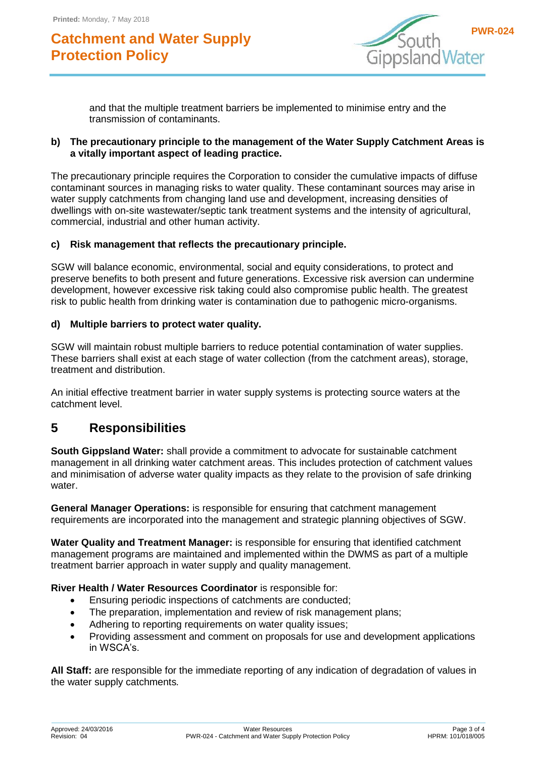

and that the multiple treatment barriers be implemented to minimise entry and the transmission of contaminants.

#### **b) The precautionary principle to the management of the Water Supply Catchment Areas is a vitally important aspect of leading practice.**

The precautionary principle requires the Corporation to consider the cumulative impacts of diffuse contaminant sources in managing risks to water quality. These contaminant sources may arise in water supply catchments from changing land use and development, increasing densities of dwellings with on-site wastewater/septic tank treatment systems and the intensity of agricultural, commercial, industrial and other human activity.

#### **c) Risk management that reflects the precautionary principle.**

SGW will balance economic, environmental, social and equity considerations, to protect and preserve benefits to both present and future generations. Excessive risk aversion can undermine development, however excessive risk taking could also compromise public health. The greatest risk to public health from drinking water is contamination due to pathogenic micro-organisms.

#### **d) Multiple barriers to protect water quality.**

SGW will maintain robust multiple barriers to reduce potential contamination of water supplies. These barriers shall exist at each stage of water collection (from the catchment areas), storage, treatment and distribution.

An initial effective treatment barrier in water supply systems is protecting source waters at the catchment level.

### **5 Responsibilities**

**South Gippsland Water:** shall provide a commitment to advocate for sustainable catchment management in all drinking water catchment areas. This includes protection of catchment values and minimisation of adverse water quality impacts as they relate to the provision of safe drinking water.

**General Manager Operations:** is responsible for ensuring that catchment management requirements are incorporated into the management and strategic planning objectives of SGW.

**Water Quality and Treatment Manager:** is responsible for ensuring that identified catchment management programs are maintained and implemented within the DWMS as part of a multiple treatment barrier approach in water supply and quality management.

#### **River Health / Water Resources Coordinator** is responsible for:

- Ensuring periodic inspections of catchments are conducted;
- The preparation, implementation and review of risk management plans;
- Adhering to reporting requirements on water quality issues;
- Providing assessment and comment on proposals for use and development applications in WSCA's.

**All Staff:** are responsible for the immediate reporting of any indication of degradation of values in the water supply catchments*.*